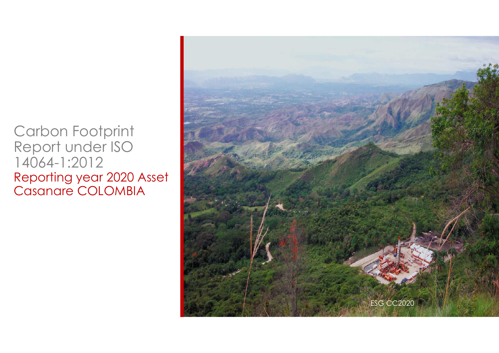Carbon Footprint Report under ISO 14064-1:2012 Reporting year 2020 Asset Casanare COLOMBIA